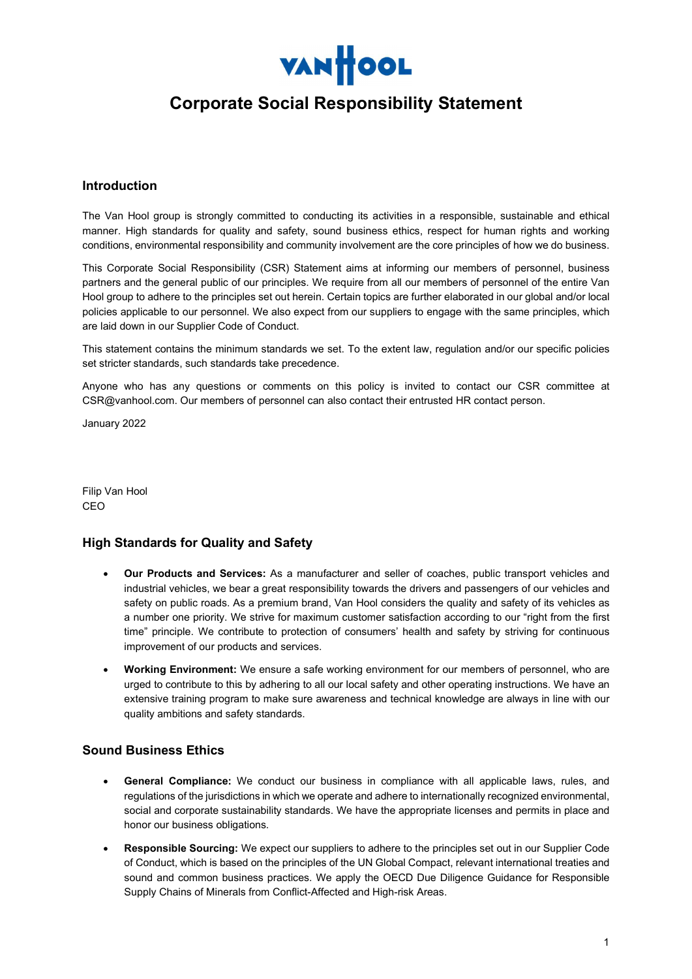

# Corporate Social Responsibility Statement

## Introduction

The Van Hool group is strongly committed to conducting its activities in a responsible, sustainable and ethical manner. High standards for quality and safety, sound business ethics, respect for human rights and working conditions, environmental responsibility and community involvement are the core principles of how we do business.

This Corporate Social Responsibility (CSR) Statement aims at informing our members of personnel, business partners and the general public of our principles. We require from all our members of personnel of the entire Van Hool group to adhere to the principles set out herein. Certain topics are further elaborated in our global and/or local policies applicable to our personnel. We also expect from our suppliers to engage with the same principles, which are laid down in our Supplier Code of Conduct.

This statement contains the minimum standards we set. To the extent law, regulation and/or our specific policies set stricter standards, such standards take precedence.

Anyone who has any questions or comments on this policy is invited to contact our CSR committee at CSR@vanhool.com. Our members of personnel can also contact their entrusted HR contact person.

January 2022

Filip Van Hool CEO

## High Standards for Quality and Safety

- Our Products and Services: As a manufacturer and seller of coaches, public transport vehicles and industrial vehicles, we bear a great responsibility towards the drivers and passengers of our vehicles and safety on public roads. As a premium brand, Van Hool considers the quality and safety of its vehicles as a number one priority. We strive for maximum customer satisfaction according to our "right from the first time" principle. We contribute to protection of consumers' health and safety by striving for continuous improvement of our products and services.
- Working Environment: We ensure a safe working environment for our members of personnel, who are urged to contribute to this by adhering to all our local safety and other operating instructions. We have an extensive training program to make sure awareness and technical knowledge are always in line with our quality ambitions and safety standards.

#### Sound Business Ethics

- General Compliance: We conduct our business in compliance with all applicable laws, rules, and regulations of the jurisdictions in which we operate and adhere to internationally recognized environmental, social and corporate sustainability standards. We have the appropriate licenses and permits in place and honor our business obligations.
- Responsible Sourcing: We expect our suppliers to adhere to the principles set out in our Supplier Code of Conduct, which is based on the principles of the UN Global Compact, relevant international treaties and sound and common business practices. We apply the OECD Due Diligence Guidance for Responsible Supply Chains of Minerals from Conflict-Affected and High-risk Areas.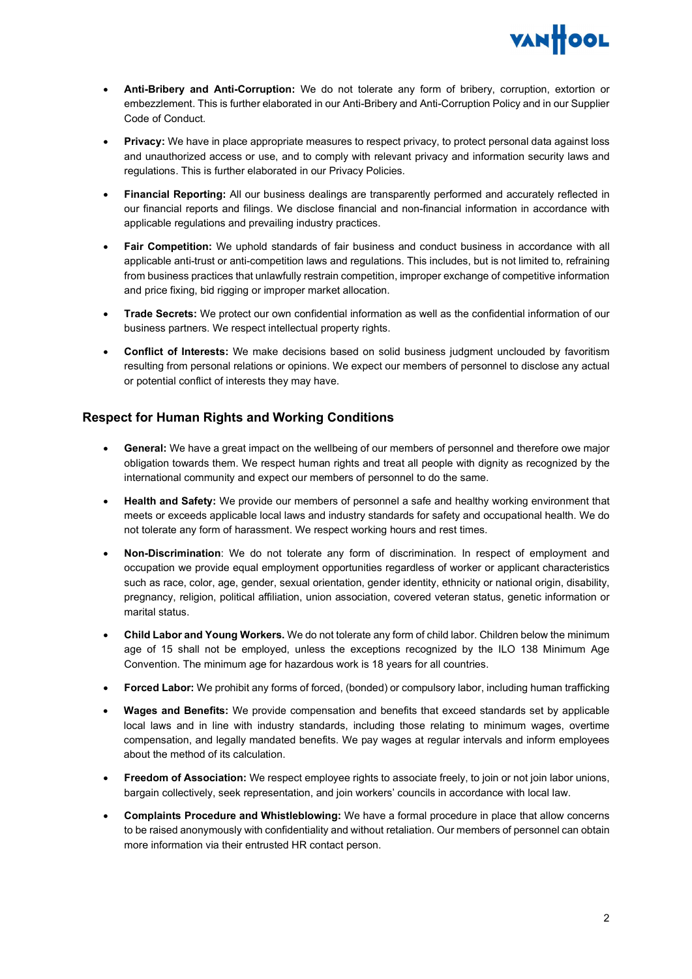

- Anti-Bribery and Anti-Corruption: We do not tolerate any form of bribery, corruption, extortion or embezzlement. This is further elaborated in our Anti-Bribery and Anti-Corruption Policy and in our Supplier Code of Conduct.
- Privacy: We have in place appropriate measures to respect privacy, to protect personal data against loss and unauthorized access or use, and to comply with relevant privacy and information security laws and regulations. This is further elaborated in our Privacy Policies.
- Financial Reporting: All our business dealings are transparently performed and accurately reflected in our financial reports and filings. We disclose financial and non-financial information in accordance with applicable regulations and prevailing industry practices.
- Fair Competition: We uphold standards of fair business and conduct business in accordance with all applicable anti-trust or anti-competition laws and regulations. This includes, but is not limited to, refraining from business practices that unlawfully restrain competition, improper exchange of competitive information and price fixing, bid rigging or improper market allocation.
- Trade Secrets: We protect our own confidential information as well as the confidential information of our business partners. We respect intellectual property rights.
- Conflict of Interests: We make decisions based on solid business judgment unclouded by favoritism resulting from personal relations or opinions. We expect our members of personnel to disclose any actual or potential conflict of interests they may have.

## Respect for Human Rights and Working Conditions

- General: We have a great impact on the wellbeing of our members of personnel and therefore owe major obligation towards them. We respect human rights and treat all people with dignity as recognized by the international community and expect our members of personnel to do the same.
- Health and Safety: We provide our members of personnel a safe and healthy working environment that meets or exceeds applicable local laws and industry standards for safety and occupational health. We do not tolerate any form of harassment. We respect working hours and rest times.
- Non-Discrimination: We do not tolerate any form of discrimination. In respect of employment and occupation we provide equal employment opportunities regardless of worker or applicant characteristics such as race, color, age, gender, sexual orientation, gender identity, ethnicity or national origin, disability, pregnancy, religion, political affiliation, union association, covered veteran status, genetic information or marital status.
- Child Labor and Young Workers. We do not tolerate any form of child labor. Children below the minimum age of 15 shall not be employed, unless the exceptions recognized by the ILO 138 Minimum Age Convention. The minimum age for hazardous work is 18 years for all countries.
- Forced Labor: We prohibit any forms of forced, (bonded) or compulsory labor, including human trafficking
- Wages and Benefits: We provide compensation and benefits that exceed standards set by applicable local laws and in line with industry standards, including those relating to minimum wages, overtime compensation, and legally mandated benefits. We pay wages at regular intervals and inform employees about the method of its calculation.
- Freedom of Association: We respect employee rights to associate freely, to join or not join labor unions, bargain collectively, seek representation, and join workers' councils in accordance with local law.
- Complaints Procedure and Whistleblowing: We have a formal procedure in place that allow concerns to be raised anonymously with confidentiality and without retaliation. Our members of personnel can obtain more information via their entrusted HR contact person.